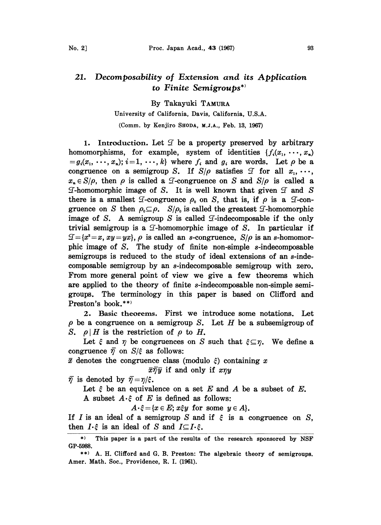## 21. Decomposability of Extension and its Application to Finite Semigroups\*

By Takayuki TAMURA

## University of California, Davis, California, U.S.A.

(Comm. by Kenjiro SHODA, M.J.A., Feb. 13, 1967)

1. Introduction. Let  $\mathcal I$  be a property preserved by arbitrary homomorphisms, for example, system of identities  $\{f_i(x_1,\ldots,x_n)\}$  $=g_i(x_1, \dots, x_n); i=1, \dots, k$  where  $f_i$  and  $g_i$  are words. Let  $\rho$  be a congruence on a semigroup S. If  $S/\rho$  satisfies  $\mathcal I$  for all  $x_1, \dots,$  $x_n \in S/\rho$ , then  $\rho$  is called a  $\mathcal{I}$ -congruence on S and  $S/\rho$  is called a T-homomorphic image of S. It is well known that given  $\mathcal I$  and  $S$ there is a smallest  $\mathcal I$ -congruence  $\rho_0$  on S, that is, if  $\rho$  is a  $\mathcal I$ -congruence on S then  $\rho_0 \subseteq \rho$ .  $S/\rho_0$  is called the greatest *T*-homomorphic image of S. A semigroup S is called  $\mathcal{I}\text{-indecomposable}$  if the only trivial semigroup is a  $\mathcal{I}$ -homomorphic image of S. In particular if  $f(x)=\{x^2=x, xy=yx\}, \rho$  is called an s-congruence,  $S/\rho$  is an s-homomorphic image of S. The study of finite non-simple s-indecomposable semigroups is reduced to the study of ideal extensions of an s-indecomposable semigroup by an s-indecomposable semigroup with zero. From more general point of view we give a few theorems which are applied to the theory of finite s-indecomposable non-simple semigroups. The terminology in this paper is based on Clifford and Preston's book.\*\*)

2. Basic theorems. First we introduce some notations. Let  $\rho$  be a congruence on a semigroup S. Let H be a subsemigroup of S.  $\rho$  H is the restriction of  $\rho$  to H.

Let  $\xi$  and  $\eta$  be congruences on S such that  $\xi \subseteq \eta$ . We define a congruence  $\bar{\eta}$  on  $S/\xi$  as follows:

 $\bar{x}$  denotes the congruence class (modulo  $\xi$ ) containing x

 $\bar{x}\bar{\eta}\bar{y}$  if and only if  $x\eta y$ 

 $\bar{\eta}$  is denoted by  $\bar{\eta} = \eta/\xi$ .

Let  $\xi$  be an equivalence on a set E and A be a subset of E. A subset  $A \cdot \xi$  of E is defined as follows:

 $A \cdot \xi = \{x \in E; x \xi y \text{ for some } y \in A\}.$ 

If I is an ideal of a semigroup S and if  $\xi$  is a congruence on S, then  $I \cdot \xi$  is an ideal of S and  $I \subseteq I \cdot \xi$ .

<sup>\*)</sup> This paper is a part of the results of the research sponsored by NSF GP-5988.

<sup>\*\*)</sup> A. H. Clifford and G. B. Preston: The algebraic theory of semigroups. Amer. Math. Soc., Providence, R. I. (1961).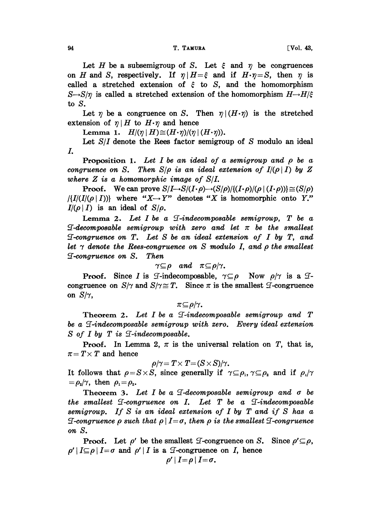Let H be a subsemigroup of S. Let  $\xi$  and  $\eta$  be congruences on H and S, respectively. If  $\eta | H = \xi$  and if  $H \cdot \eta = S$ , then  $\eta$  is called a stretched extension of  $\xi$  to S, and the homomorphism  $S\rightarrow S/\eta$  is called a stretched extension of the homomorphism  $H\rightarrow H/\xi$ to S.

Let  $\eta$  be a congruence on S. Then  $\eta |(H \cdot \eta)$  is the stretched extension of  $\eta$ |H to  $H \cdot \eta$  and hence

Lemma 1.  $H/(\eta | H) \cong (H \cdot \eta)/(\eta | (H \cdot \eta)).$ 

Let  $S/I$  denote the Rees factor semigroup of S modulo an ideal L

**Proposition 1.** Let I be an ideal of a semigroup and  $\rho$  be a congruence on S. Then  $S/\rho$  is an ideal extension of  $I/(\rho | I)$  by Z where  $Z$  is a homomorphic image of  $S/I$ .

**Proof.** We can prove  $S/I \rightarrow S/(I \cdot \rho) \rightarrow (S/\rho)/(I \cdot \rho)/(\rho | (I \cdot \rho)) \ge (S/\rho)$  $\{I\mid I\mid (I\mid(\rho\mid I))\}$  where " $X \rightarrow Y$ " denotes "X is homomorphic onto Y."  $I/(\rho | I)$  is an ideal of  $S/\rho$ .

Lemma 2. Let  $I$  be a  $\mathcal I$ -indecomposable semigroup,  $T$  be a  $\mathcal{I}\text{-}decomposable\ semigroup\ with\ zero\ and\ let\ \pi\ be\ the\ smallest$  $I$ -congruence on T. Let S be an ideal extension of I by T, and let  $\gamma$  denote the Rees-congruence on S modulo I, and  $\rho$  the smallest if-congruency on S. Then

$$
\gamma \subseteq \rho \quad and \quad \pi \subseteq \rho/\gamma.
$$

**Proof.** Since I is *T*-indecomposable,  $\gamma \subseteq \rho$  Now  $\rho/\gamma$  is a *T*congruence on  $S/\gamma$  and  $S/\gamma \cong T$ . Since  $\pi$  is the smallest  $\mathcal I$ -congruence on  $S/\gamma$ ,

 $\pi \subseteq \rho/\gamma$ .

Theorem 2. Let  $I$  be a  $\mathcal I$ -indecomposable semigroup and  $T$ be a  $\mathcal I$ -indecomposable semigroup with zero. Every ideal extension  $S$  of I by T is  $\mathcal{I}\text{-}indecomposable.$ 

**Proof.** In Lemma 2,  $\pi$  is the universal relation on T, that is,  $\pi = T \times T$  and hence

$$
\rho/\gamma = T \times T = (S \times S)/\gamma.
$$

It follows that  $\rho = S \times S$ , since generally if  $\gamma \subseteq \rho_1, \gamma \subseteq \rho_2$  and if  $\rho_1/\gamma$  $=\rho_{2}/\gamma$ , then  $\rho_{1}=\rho_{2}$ .

Theorem 3. Let I be a  $\mathcal I$ -decomposable semigroup and  $\sigma$  be the smallest  $\mathcal{I}$ -congruence on I. Let T be a  $\mathcal{I}$ -indecomposable semigroup. If  $S$  is an ideal extension of I by  $T$  and if  $S$  has a **I-congruence**  $\rho$  such that  $\rho \mid I = \sigma$ , then  $\rho$  is the smallest **I**-congruence on S.

**Proof.** Let  $\rho'$  be the smallest  $\mathcal{I}$ -congruence on S. Since  $\rho' \subseteq \rho$ .  $\rho' | I \subseteq \rho | I = \sigma$  and  $\rho' | I$  is a *I*-congruence on *I*, hence

$$
\rho'\,|\,I\!=\!\rho\,|\,I\!=\!\sigma.
$$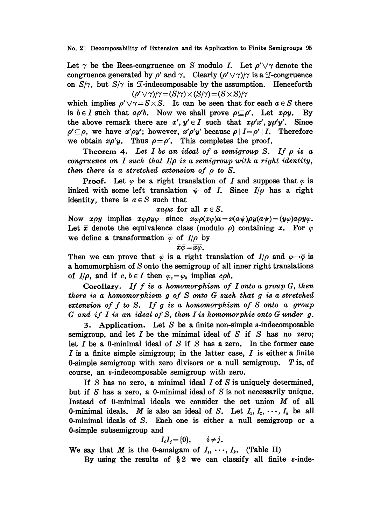No. 2] Decomposability of Extension and its Application to Finite Semigroups 95

Let  $\gamma$  be the Rees-congruence on S modulo I. Let  $\rho' \vee \gamma$  denote the congruence generated by  $\rho'$  and  $\gamma$ . Clearly  $(\rho' \vee \gamma)/\gamma$  is a T-congruence on  $S/\gamma$ , but  $S/\gamma$  is  $\mathcal{I}$ -indecomposable by the assumption. Henceforth  $(\rho' \vee \gamma)/\gamma = (S/\gamma) \times (S/\gamma) = (S \times S)/\gamma$ 

which implies  $\rho' \vee \gamma = S \times S$ . It can be seen that for each  $a \in S$  there is  $b \in I$  such that  $a \rho' b$ . Now we shall prove  $\rho \subseteq \rho'$ . Let  $x \rho y$ . By the above remark there are  $x', y' \in I$  such that  $x \rho' x', y \rho' y'$ . Since  $\rho' \subseteq \rho$ , we have  $x' \rho y'$ ; however,  $x' \rho' y'$  because  $\rho |I = \rho' |I$ . Therefore we obtain  $x\rho' y$ . Thus  $\rho = \rho'$ . This completes the proof.

Theorem 4. Let I be an ideal of a semigroup S. If  $\rho$  is a congruence on I such that  $I/\rho$  is a semigroup with a right identity, then there is a stretched extension of  $\rho$  to  $S$ .

**Proof.** Let  $\varphi$  be a right translation of I and suppose that  $\varphi$  is linked with some left translation  $\psi$  of I. Since  $I/\rho$  has a right identity, there is  $a \in S$  such that

xapx for all  $x \in S$ .

Now  $x\rho y$  implies  $x\varphi\rho y\varphi$  since  $x\varphi\rho(x\varphi)a=x(a\psi)\rho y(a\psi)=(y\varphi)a\rho y\varphi$ . Let  $\bar{x}$  denote the equivalence class (modulo  $\rho$ ) containing x. For  $\varphi$ we define a transformation  $\overline{\varphi}$  of  $I/\rho$  by

$$
\overline{x}\overline{\varphi}=\overline{x}\overline{\varphi}.
$$

Then we can prove that  $\bar{\varphi}$  is a right translation of  $I/\rho$  and  $\varphi \rightarrow \bar{\varphi}$  is a homomorphism of S onto the semigroup of all inner right translations of  $I/\rho$ , and if  $c, b \in I$  then  $\bar{\varphi}_c = \bar{\varphi}_b$  implies  $c \rho b$ .

of  $I/\rho$ , and if  $c, b \in I$  then  $\varphi_e = \varphi_b$  implies  $c\rho b$ .<br>Corollary. If f is a homomorphism of I onto a group G, then<br>there is a homomorphism g of S onto G such that g is a stretched<br>extension of f to S. If g is a homomo Corollary. If  $f$  is a homomorphism of I onto a group  $G$ , then there is a homomorphism  $g$  of  $S$  onto  $G$  such that  $g$  is a stretched extension of f to S. If g is a homomorphism of S onto a group

3. Application. Let S be a finite non-simple s-indecomposable semigroup, and let  $I$  be the minimal ideal of  $S$  if  $S$  has no zero; let  $I$  be a 0-minimal ideal of  $S$  if  $S$  has a zero. In the former case  $I$  is a finite simple simigroup; in the latter case,  $I$  is either a finite 0-simple semigroup with zero divisors or a null semigroup.  $T$  is, of course, an s-indecomposable semigroup with zero.

If S has no zero, a minimal ideal  $I$  of S is uniquely determined, but if  $S$  has a zero, a 0-minimal ideal of  $S$  is not necessarily unique. Instead of 0-minimal ideals we consider the set union  $M$  of all 0-minimal ideals. M is also an ideal of S. Let  $I_1, I_2, \cdots, I_k$  be all 0-minimal ideals of S. Each one is either a null semigroup or a 0-simple subsemigroup and

$$
I_iI_j = \{0\}, \qquad i \neq j.
$$

We say that M is the 0-amalgam of  $I_1, \dots, I_k$ . (Table II)

By using the results of  $\S 2$  we can classify all finite s-inde-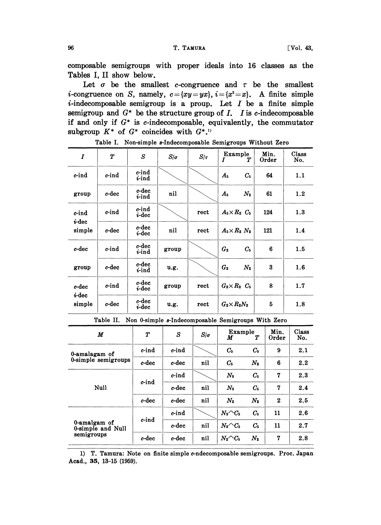composable semigroups with proper ideals into 16 classes as the Tables I, II show below.

Let  $\sigma$  be the smallest c-congruence and  $\tau$  be the smallest *i*-congruence on S, namely,  $c=\{xy=yx\}$ ,  $i=\{x^2=x\}$ . A finite simple  $i$ -indecomposable semigroup is a proup. Let  $I$  be a finite simple semigroup and  $G^*$  be the structure group of I. I is c-indecomposable if and only if  $G^*$  is c-indecomposable, equivalently, the commutator subgroup  $K^*$  of  $G^*$  coincides with  $G^{*,1}$ 

| I                           | $\boldsymbol{T}$ | S                         | $S/\sigma$ | $S/\tau$ | Example<br>$\boldsymbol{I}$<br>Т | Min.<br>Order | Class<br>No. |
|-----------------------------|------------------|---------------------------|------------|----------|----------------------------------|---------------|--------------|
| c-ind                       | $c$ -ind         | c-ind<br><i>i</i> -ind    |            |          | $C_{5}$<br>$A_{5}$               | 64            | 1.1          |
| group                       | c-dec            | c-dec<br><i>i</i> -ind    | nil        |          | $N_2$<br>$A_{5}$                 | 61            | 1.2          |
| c-ind<br>$i$ -dec<br>simple | $c$ -ind         | c-ind<br>$i$ -dec         |            | rect     | $A_5\times R_2$ $C_5$            | 124           | 1.3          |
|                             | c-dec            | c-dec<br>$i$ -dec         | nil        | rect     | $A_5\times R_2$ $N_2$            | 121           | 1.4          |
| c-dec                       | $c$ -ind         | $c$ -dec<br><i>i</i> -ind | group      |          | G <sub>2</sub><br>$C_{5}$        | 6             | 1.5          |
| group                       | c-dec            | c-dec<br><i>i</i> -ind    | u.g.       |          | G <sub>2</sub><br>$N_2$          | 3             | 1.6          |
| c-dec<br>$i$ -dec<br>simple | c-ind            | c-dec<br><i>i</i> -dec    | group      | rect     | $G_2\times R_2$ $C_5$            | 8             | 1.7          |
|                             | c-dec            | c-dec<br><i>i</i> -dec    | u.g.       | rect     | $G_2\times R_2N_2$               | 5             | 1.8          |

Table I. Non-simple s-Indecomposable Semigroups Without Zero

Table II. Non O-simple s-Indecomposable Semigroups With Zero

| M                                 | $\boldsymbol{T}$ | S        | $S/\sigma$ | Example<br>Т<br>M              |             | Min.<br>Order    | Class<br>No. |
|-----------------------------------|------------------|----------|------------|--------------------------------|-------------|------------------|--------------|
| 0-amalagam of                     | $c$ -ind         | $c$ -ind |            | $C_{5}$                        | $C_{5}$     | 9                | 2.1          |
| 0-simple semigroups               | $c$ -dec         | $c$ -dec | nil        | C.                             | $N_{2}$     | 6                | 2.2          |
|                                   | c-ind            | $c$ -ind |            | $N_{3}$                        | $C_{5}$     | 7                | 2.3          |
| Null                              |                  | $c$ -dec | nil        | $N_{3}$                        | $C_{5}$     | 7                | 2.4          |
|                                   | $c$ -dec         | c-dec    | nil        | $N_{2}$                        | $N_2$       | $\boldsymbol{2}$ | 2.5          |
|                                   |                  | $c$ -ind |            | $N_3 \wedge C_5$               | $C_{5}$     | 11               | 2.6          |
| 0-amalgam of<br>0-simple and Null | $c$ -ind         | c-dec    | nil        | $N_{\rm s}$ $\sim$ $C_{\rm s}$ | $C_{\rm s}$ | 11               | 2.7          |
| semigroups                        | $c$ -dec         | c-dec    | nil        | $N_2 \triangle C_5$            | $N_{2}$     | 7                | 2.8          |

<sup>1)</sup> T. Tamura: Note on finite simple c-ndecomposable semigroups. Proc. Japan Acad., 35, 13-15 (1959).